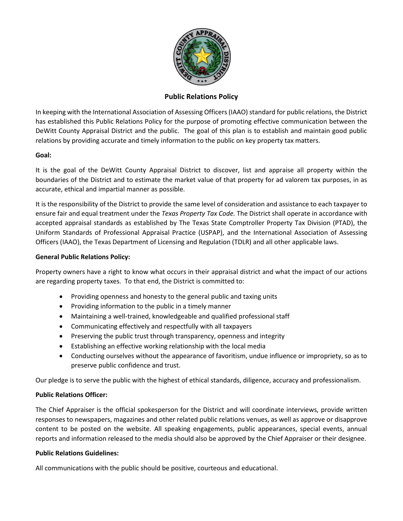

# **Public Relations Policy**

In keeping with the International Association of Assessing Officers (IAAO) standard for public relations, the District has established this Public Relations Policy for the purpose of promoting effective communication between the DeWitt County Appraisal District and the public. The goal of this plan is to establish and maintain good public relations by providing accurate and timely information to the public on key property tax matters.

## **Goal:**

It is the goal of the DeWitt County Appraisal District to discover, list and appraise all property within the boundaries of the District and to estimate the market value of that property for ad valorem tax purposes, in as accurate, ethical and impartial manner as possible.

It is the responsibility of the District to provide the same level of consideration and assistance to each taxpayer to ensure fair and equal treatment under the *Texas Property Tax Code.* The District shall operate in accordance with accepted appraisal standards as established by The Texas State Comptroller Property Tax Division (PTAD), the Uniform Standards of Professional Appraisal Practice (USPAP), and the International Association of Assessing Officers (IAAO), the Texas Department of Licensing and Regulation (TDLR) and all other applicable laws.

## **General Public Relations Policy:**

Property owners have a right to know what occurs in their appraisal district and what the impact of our actions are regarding property taxes. To that end, the District is committed to:

- Providing openness and honesty to the general public and taxing units
- Providing information to the public in a timely manner
- Maintaining a well-trained, knowledgeable and qualified professional staff
- Communicating effectively and respectfully with all taxpayers
- Preserving the public trust through transparency, openness and integrity
- Establishing an effective working relationship with the local media
- Conducting ourselves without the appearance of favoritism, undue influence or impropriety, so as to preserve public confidence and trust.

Our pledge is to serve the public with the highest of ethical standards, diligence, accuracy and professionalism.

## **Public Relations Officer:**

The Chief Appraiser is the official spokesperson for the District and will coordinate interviews, provide written responses to newspapers, magazines and other related public relations venues, as well as approve or disapprove content to be posted on the website. All speaking engagements, public appearances, special events, annual reports and information released to the media should also be approved by the Chief Appraiser or their designee.

## **Public Relations Guidelines:**

All communications with the public should be positive, courteous and educational.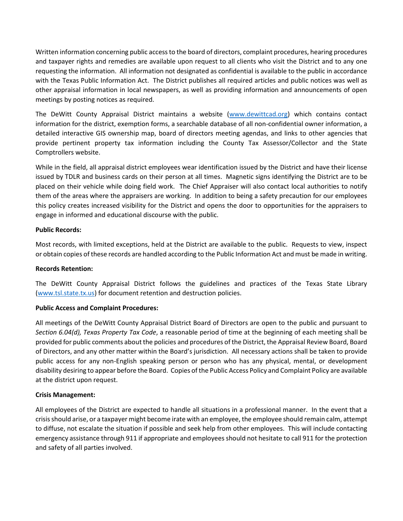Written information concerning public access to the board of directors, complaint procedures, hearing procedures and taxpayer rights and remedies are available upon request to all clients who visit the District and to any one requesting the information. All information not designated as confidential is available to the public in accordance with the Texas Public Information Act. The District publishes all required articles and public notices was well as other appraisal information in local newspapers, as well as providing information and announcements of open meetings by posting notices as required.

The DeWitt County Appraisal District maintains a website [\(www.dewittcad.org\)](http://www.dewittcad.org/) which contains contact information for the district, exemption forms, a searchable database of all non-confidential owner information, a detailed interactive GIS ownership map, board of directors meeting agendas, and links to other agencies that provide pertinent property tax information including the County Tax Assessor/Collector and the State Comptrollers website.

While in the field, all appraisal district employees wear identification issued by the District and have their license issued by TDLR and business cards on their person at all times. Magnetic signs identifying the District are to be placed on their vehicle while doing field work. The Chief Appraiser will also contact local authorities to notify them of the areas where the appraisers are working. In addition to being a safety precaution for our employees this policy creates increased visibility for the District and opens the door to opportunities for the appraisers to engage in informed and educational discourse with the public.

## **Public Records:**

Most records, with limited exceptions, held at the District are available to the public. Requests to view, inspect or obtain copies of these records are handled according to the Public Information Act and must be made in writing.

## **Records Retention:**

The DeWitt County Appraisal District follows the guidelines and practices of the Texas State Library [\(www.tsl.state.tx.us\)](http://www.tsl.state.tx.us/) for document retention and destruction policies.

# **Public Access and Complaint Procedures:**

All meetings of the DeWitt County Appraisal District Board of Directors are open to the public and pursuant to *Section 6.04(d), Texas Property Tax Code*, a reasonable period of time at the beginning of each meeting shall be provided for public comments about the policies and procedures of the District, the Appraisal Review Board, Board of Directors, and any other matter within the Board's jurisdiction. All necessary actions shall be taken to provide public access for any non-English speaking person or person who has any physical, mental, or development disability desiring to appear before the Board. Copies of the Public Access Policy and Complaint Policy are available at the district upon request.

## **Crisis Management:**

All employees of the District are expected to handle all situations in a professional manner. In the event that a crisis should arise, or a taxpayer might become irate with an employee, the employee should remain calm, attempt to diffuse, not escalate the situation if possible and seek help from other employees. This will include contacting emergency assistance through 911 if appropriate and employees should not hesitate to call 911 for the protection and safety of all parties involved.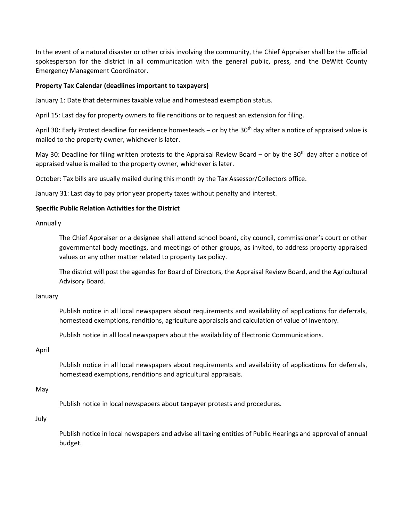In the event of a natural disaster or other crisis involving the community, the Chief Appraiser shall be the official spokesperson for the district in all communication with the general public, press, and the DeWitt County Emergency Management Coordinator.

## **Property Tax Calendar (deadlines important to taxpayers)**

January 1: Date that determines taxable value and homestead exemption status.

April 15: Last day for property owners to file renditions or to request an extension for filing.

April 30: Early Protest deadline for residence homesteads – or by the 30<sup>th</sup> day after a notice of appraised value is mailed to the property owner, whichever is later.

May 30: Deadline for filing written protests to the Appraisal Review Board – or by the 30<sup>th</sup> day after a notice of appraised value is mailed to the property owner, whichever is later.

October: Tax bills are usually mailed during this month by the Tax Assessor/Collectors office.

January 31: Last day to pay prior year property taxes without penalty and interest.

## **Specific Public Relation Activities for the District**

Annually

The Chief Appraiser or a designee shall attend school board, city council, commissioner's court or other governmental body meetings, and meetings of other groups, as invited, to address property appraised values or any other matter related to property tax policy.

The district will post the agendas for Board of Directors, the Appraisal Review Board, and the Agricultural Advisory Board.

## January

Publish notice in all local newspapers about requirements and availability of applications for deferrals, homestead exemptions, renditions, agriculture appraisals and calculation of value of inventory.

Publish notice in all local newspapers about the availability of Electronic Communications.

## April

Publish notice in all local newspapers about requirements and availability of applications for deferrals, homestead exemptions, renditions and agricultural appraisals.

May

Publish notice in local newspapers about taxpayer protests and procedures.

July

Publish notice in local newspapers and advise all taxing entities of Public Hearings and approval of annual budget.